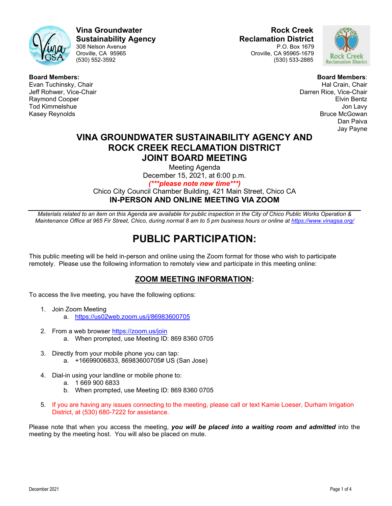

**Vina Groundwater Rock Creek Sustainability Agency**<br>308 Nelson Avenue<br>P.O. Box 1679 308 Nelson Avenue<br>Oroville, CA 95965

Oroville, CA 95965 Oroville, CA 95965-1679 (530) 533-2885



**Board Members:** Evan Tuchinsky, Chair Jeff Rohwer, Vice-Chair Raymond Cooper Tod Kimmelshue Kasey Reynolds

**Board Members**: Hal Crain, Chair Darren Rice, Vice-Chair Elvin Bentz Jon Lavy Bruce McGowan Dan Paiva Jay Payne

# **VINA GROUNDWATER SUSTAINABILITY AGENCY AND ROCK CREEK RECLAMATION DISTRICT JOINT BOARD MEETING**

Meeting Agenda

December 15, 2021, at 6:00 p.m.

*(\*\*\*please note new time\*\*\*)*

Chico City Council Chamber Building, 421 Main Street, Chico CA **IN-PERSON AND ONLINE MEETING VIA ZOOM**

*Materials related to an item on this Agenda are available for public inspection in the City of Chico Public Works Operation & Maintenance Office at 965 Fir Street, Chico, during normal 8 am to 5 pm business hours or online at <https://www.vinagsa.org/>*

# **PUBLIC PARTICIPATION:**

This public meeting will be held in-person and online using the Zoom format for those who wish to participate remotely. Please use the following information to remotely view and participate in this meeting online:

# **ZOOM MEETING INFORMATION:**

To access the live meeting, you have the following options:

- 1. Join Zoom Meeting a. <https://us02web.zoom.us/j/86983600705>
- 2. From a web browser<https://zoom.us/join> a. When prompted, use Meeting ID: 869 8360 0705
- 3. Directly from your mobile phone you can tap: a. +16699006833, 86983600705# US (San Jose)
- 4. Dial-in using your landline or mobile phone to:
	- a. 1 669 900 6833
	- b. When prompted, use Meeting ID: 869 8360 0705
- 5. If you are having any issues connecting to the meeting, please call or text Kamie Loeser, Durham Irrigation District, at (530) 680-7222 for assistance.

Please note that when you access the meeting, *you will be placed into a waiting room and admitted* into the meeting by the meeting host. You will also be placed on mute.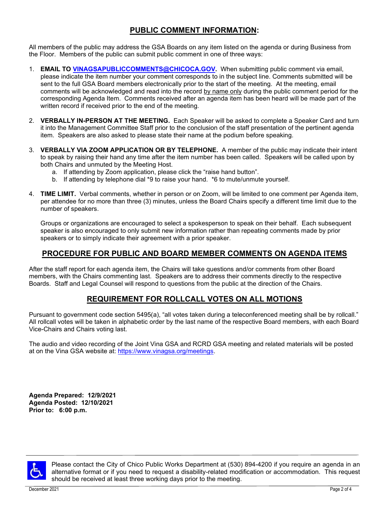# **PUBLIC COMMENT INFORMATION:**

All members of the public may address the GSA Boards on any item listed on the agenda or during Business from the Floor. Members of the public can submit public comment in one of three ways:

- 1. **EMAIL TO [VINAGSAPUBLICCOMMENTS@CHICOCA.GOV.](mailto:vinagsapubliccomments@chicoca.gov)** When submitting public comment via email, please indicate the item number your comment corresponds to in the subject line. Comments submitted will be sent to the full GSA Board members electronically prior to the start of the meeting. At the meeting, email comments will be acknowledged and read into the record by name only during the public comment period for the corresponding Agenda Item. Comments received after an agenda item has been heard will be made part of the written record if received prior to the end of the meeting.
- 2. **VERBALLY IN-PERSON AT THE MEETING.** Each Speaker will be asked to complete a Speaker Card and turn it into the Management Committee Staff prior to the conclusion of the staff presentation of the pertinent agenda item. Speakers are also asked to please state their name at the podium before speaking.
- 3. **VERBALLY VIA ZOOM APPLICATION OR BY TELEPHONE.** A member of the public may indicate their intent to speak by raising their hand any time after the item number has been called. Speakers will be called upon by both Chairs and unmuted by the Meeting Host.
	- a. If attending by Zoom application, please click the "raise hand button".
	- b. If attending by telephone dial \*9 to raise your hand. \*6 to mute/unmute yourself.
- 4. **TIME LIMIT.** Verbal comments, whether in person or on Zoom, will be limited to one comment per Agenda item, per attendee for no more than three (3) minutes, unless the Board Chairs specify a different time limit due to the number of speakers.

Groups or organizations are encouraged to select a spokesperson to speak on their behalf. Each subsequent speaker is also encouraged to only submit new information rather than repeating comments made by prior speakers or to simply indicate their agreement with a prior speaker.

# **PROCEDURE FOR PUBLIC AND BOARD MEMBER COMMENTS ON AGENDA ITEMS**

After the staff report for each agenda item, the Chairs will take questions and/or comments from other Board members, with the Chairs commenting last. Speakers are to address their comments directly to the respective Boards. Staff and Legal Counsel will respond to questions from the public at the direction of the Chairs.

# **REQUIREMENT FOR ROLLCALL VOTES ON ALL MOTIONS**

Pursuant to government code section 5495(a), "all votes taken during a teleconferenced meeting shall be by rollcall." All rollcall votes will be taken in alphabetic order by the last name of the respective Board members, with each Board Vice-Chairs and Chairs voting last.

The audio and video recording of the Joint Vina GSA and RCRD GSA meeting and related materials will be posted at on the Vina GSA website at: [https://www.vinagsa.org/meetings.](https://www.vinagsa.org/meetings)

**Agenda Prepared: 12/9/2021 Agenda Posted: 12/10/2021 Prior to: 6:00 p.m.**



Please contact the City of Chico Public Works Department at (530) 894-4200 if you require an agenda in an alternative format or if you need to request a disability-related modification or accommodation. This request should be received at least three working days prior to the meeting.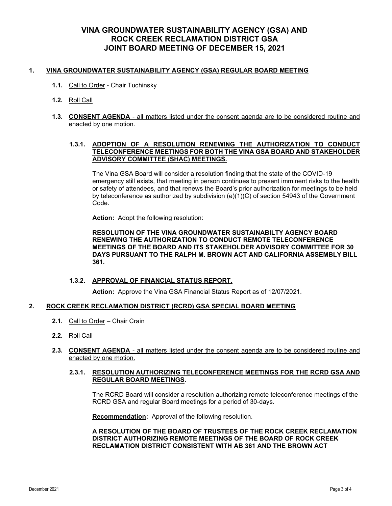## **VINA GROUNDWATER SUSTAINABILITY AGENCY (GSA) AND ROCK CREEK RECLAMATION DISTRICT GSA JOINT BOARD MEETING OF DECEMBER 15, 2021**

#### **1. VINA GROUNDWATER SUSTAINABILITY AGENCY (GSA) REGULAR BOARD MEETING**

- **1.1.** Call to Order Chair Tuchinsky
- **1.2.** Roll Call
- **1.3. CONSENT AGENDA** all matters listed under the consent agenda are to be considered routine and enacted by one motion.

#### **1.3.1. ADOPTION OF A RESOLUTION RENEWING THE AUTHORIZATION TO CONDUCT TELECONFERENCE MEETINGS FOR BOTH THE VINA GSA BOARD AND STAKEHOLDER ADVISORY COMMITTEE (SHAC) MEETINGS.**

The Vina GSA Board will consider a resolution finding that the state of the COVID-19 emergency still exists, that meeting in person continues to present imminent risks to the health or safety of attendees, and that renews the Board's prior authorization for meetings to be held by teleconference as authorized by subdivision (e)(1)(C) of section 54943 of the Government Code.

**Action:** Adopt the following resolution:

**RESOLUTION OF THE VINA GROUNDWATER SUSTAINABILTY AGENCY BOARD RENEWING THE AUTHORIZATION TO CONDUCT REMOTE TELECONFERENCE MEETINGS OF THE BOARD AND ITS STAKEHOLDER ADVISORY COMMITTEE FOR 30 DAYS PURSUANT TO THE RALPH M. BROWN ACT AND CALIFORNIA ASSEMBLY BILL 361.**

#### **1.3.2. APPROVAL OF FINANCIAL STATUS REPORT.**

**Action:** Approve the Vina GSA Financial Status Report as of 12/07/2021.

#### **2. ROCK CREEK RECLAMATION DISTRICT (RCRD) GSA SPECIAL BOARD MEETING**

- **2.1.** Call to Order Chair Crain
- **2.2.** Roll Call
- **2.3. CONSENT AGENDA** all matters listed under the consent agenda are to be considered routine and enacted by one motion.

#### **2.3.1. RESOLUTION AUTHORIZING TELECONFERENCE MEETINGS FOR THE RCRD GSA AND REGULAR BOARD MEETINGS.**

The RCRD Board will consider a resolution authorizing remote teleconference meetings of the RCRD GSA and regular Board meetings for a period of 30-days.

**Recommendation:** Approval of the following resolution.

**A RESOLUTION OF THE BOARD OF TRUSTEES OF THE ROCK CREEK RECLAMATION DISTRICT AUTHORIZING REMOTE MEETINGS OF THE BOARD OF ROCK CREEK RECLAMATION DISTRICT CONSISTENT WITH AB 361 AND THE BROWN ACT**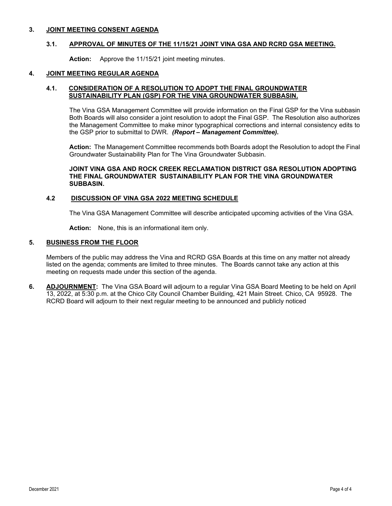#### **3. JOINT MEETING CONSENT AGENDA**

#### **3.1. APPROVAL OF MINUTES OF THE 11/15/21 JOINT VINA GSA AND RCRD GSA MEETING.**

**Action:** Approve the 11/15/21 joint meeting minutes.

#### **4. JOINT MEETING REGULAR AGENDA**

#### **4.1. CONSIDERATION OF A RESOLUTION TO ADOPT THE FINAL GROUNDWATER SUSTAINABILITY PLAN (GSP) FOR THE VINA GROUNDWATER SUBBASIN.**

The Vina GSA Management Committee will provide information on the Final GSP for the Vina subbasin Both Boards will also consider a joint resolution to adopt the Final GSP. The Resolution also authorizes the Management Committee to make minor typographical corrections and internal consistency edits to the GSP prior to submittal to DWR. *(Report – Management Committee).*

**Action:** The Management Committee recommends both Boards adopt the Resolution to adopt the Final Groundwater Sustainability Plan for The Vina Groundwater Subbasin.

#### **JOINT VINA GSA AND ROCK CREEK RECLAMATION DISTRICT GSA RESOLUTION ADOPTING THE FINAL GROUNDWATER SUSTAINABILITY PLAN FOR THE VINA GROUNDWATER SUBBASIN.**

#### **4.2 DISCUSSION OF VINA GSA 2022 MEETING SCHEDULE**

The Vina GSA Management Committee will describe anticipated upcoming activities of the Vina GSA.

**Action:** None, this is an informational item only.

#### **5. BUSINESS FROM THE FLOOR**

Members of the public may address the Vina and RCRD GSA Boards at this time on any matter not already listed on the agenda; comments are limited to three minutes. The Boards cannot take any action at this meeting on requests made under this section of the agenda.

**6. ADJOURNMENT:** The Vina GSA Board will adjourn to a regular Vina GSA Board Meeting to be held on April 13, 2022, at 5:30 p.m. at the Chico City Council Chamber Building, 421 Main Street. Chico, CA 95928. The RCRD Board will adjourn to their next regular meeting to be announced and publicly noticed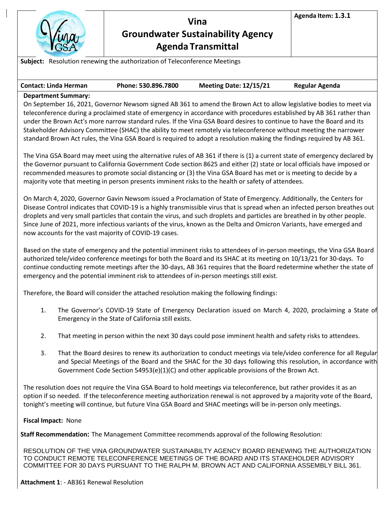

# **Vina Groundwater Sustainability Agency Agenda Transmittal**

**Agenda Item: 1.3.1**

**Subject:** Resolution renewing the authorization of Teleconference Meetings

| <b>Contact: Linda Herman</b> | Phone: 530.896.7800 | <b>Meeting Date: 12/15/21</b> | <b>Regular Agenda</b> |
|------------------------------|---------------------|-------------------------------|-----------------------|
|                              |                     |                               |                       |

# **Department Summary:**

On September 16, 2021, Governor Newsom signed AB 361 to amend the Brown Act to allow legislative bodies to meet via teleconference during a proclaimed state of emergency in accordance with procedures established by AB 361 rather than under the Brown Act's more narrow standard rules. If the Vina GSA Board desires to continue to have the Board and its Stakeholder Advisory Committee (SHAC) the ability to meet remotely via teleconference without meeting the narrower standard Brown Act rules, the Vina GSA Board is required to adopt a resolution making the findings required by AB 361.

The Vina GSA Board may meet using the alternative rules of AB 361 if there is (1) a current state of emergency declared by the Governor pursuant to California Government Code section 8625 and either (2) state or local officials have imposed or recommended measures to promote social distancing or (3) the Vina GSA Board has met or is meeting to decide by a majority vote that meeting in person presents imminent risks to the health or safety of attendees.

On March 4, 2020, Governor Gavin Newsom issued a Proclamation of State of Emergency. Additionally, the Centers for Disease Control indicates that COVID-19 is a highly transmissible virus that is spread when an infected person breathes out droplets and very small particles that contain the virus, and such droplets and particles are breathed in by other people. Since June of 2021, more infectious variants of the virus, known as the Delta and Omicron Variants, have emerged and now accounts for the vast majority of COVID-19 cases.

Based on the state of emergency and the potential imminent risks to attendees of in-person meetings, the Vina GSA Board authorized tele/video conference meetings for both the Board and its SHAC at its meeting on 10/13/21 for 30-days. To continue conducting remote meetings after the 30-days, AB 361 requires that the Board redetermine whether the state of emergency and the potential imminent risk to attendees of in-person meetings still exist.

Therefore, the Board will consider the attached resolution making the following findings:

- 1. The Governor's COVID-19 State of Emergency Declaration issued on March 4, 2020, proclaiming a State of Emergency in the State of California still exists.
- 2. That meeting in person within the next 30 days could pose imminent health and safety risks to attendees.
- 3. That the Board desires to renew its authorization to conduct meetings via tele/video conference for all Regular and Special Meetings of the Board and the SHAC for the 30 days following this resolution, in accordance with Government Code Section 54953(e)(1)(C) and other applicable provisions of the Brown Act.

The resolution does not require the Vina GSA Board to hold meetings via teleconference, but rather provides it as an option if so needed. If the teleconference meeting authorization renewal is not approved by a majority vote of the Board, tonight's meeting will continue, but future Vina GSA Board and SHAC meetings will be in-person only meetings.

#### **Fiscal Impact:** None

**Staff Recommendation:** The Management Committee recommends approval of the following Resolution:

RESOLUTION OF THE VINA GROUNDWATER SUSTAINABILTY AGENCY BOARD RENEWING THE AUTHORIZATION TO CONDUCT REMOTE TELECONFERENCE MEETINGS OF THE BOARD AND ITS STAKEHOLDER ADVISORY COMMITTEE FOR 30 DAYS PURSUANT TO THE RALPH M. BROWN ACT AND CALIFORNIA ASSEMBLY BILL 361.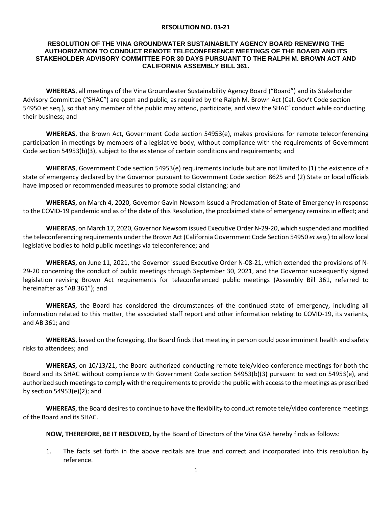#### **RESOLUTION NO. 03-21**

#### **RESOLUTION OF THE VINA GROUNDWATER SUSTAINABILTY AGENCY BOARD RENEWING THE AUTHORIZATION TO CONDUCT REMOTE TELECONFERENCE MEETINGS OF THE BOARD AND ITS STAKEHOLDER ADVISORY COMMITTEE FOR 30 DAYS PURSUANT TO THE RALPH M. BROWN ACT AND CALIFORNIA ASSEMBLY BILL 361.**

**WHEREAS**, all meetings of the Vina Groundwater Sustainability Agency Board ("Board") and its Stakeholder Advisory Committee ("SHAC") are open and public, as required by the Ralph M. Brown Act (Cal. Gov't Code section 54950 et seq.), so that any member of the public may attend, participate, and view the SHAC' conduct while conducting their business; and

**WHEREAS**, the Brown Act, Government Code section 54953(e), makes provisions for remote teleconferencing participation in meetings by members of a legislative body, without compliance with the requirements of Government Code section 54953(b)(3), subject to the existence of certain conditions and requirements; and

**WHEREAS**, Government Code section 54953(e) requirements include but are not limited to (1) the existence of a state of emergency declared by the Governor pursuant to Government Code section 8625 and (2) State or local officials have imposed or recommended measures to promote social distancing; and

**WHEREAS**, on March 4, 2020, Governor Gavin Newsom issued a Proclamation of State of Emergency in response to the COVID-19 pandemic and as of the date of this Resolution, the proclaimed state of emergency remains in effect; and

**WHEREAS**, on March 17, 2020, Governor Newsom issued Executive Order N-29-20, which suspended and modified the teleconferencing requirements under the Brown Act (California Government Code Section 54950 *et seq.*) to allow local legislative bodies to hold public meetings via teleconference; and

**WHEREAS**, on June 11, 2021, the Governor issued Executive Order N-08-21, which extended the provisions of N-29-20 concerning the conduct of public meetings through September 30, 2021, and the Governor subsequently signed legislation revising Brown Act requirements for teleconferenced public meetings (Assembly Bill 361, referred to hereinafter as "AB 361"); and

**WHEREAS**, the Board has considered the circumstances of the continued state of emergency, including all information related to this matter, the associated staff report and other information relating to COVID-19, its variants, and AB 361; and

**WHEREAS**, based on the foregoing, the Board finds that meeting in person could pose imminent health and safety risks to attendees; and

**WHEREAS**, on 10/13/21, the Board authorized conducting remote tele/video conference meetings for both the Board and its SHAC without compliance with Government Code section 54953(b)(3) pursuant to section 54953(e), and authorized such meetings to comply with the requirements to provide the public with access to the meetings as prescribed by section 54953(e)(2); and

**WHEREAS**, the Board desires to continue to have the flexibility to conduct remote tele/video conference meetings of the Board and its SHAC.

**NOW, THEREFORE, BE IT RESOLVED,** by the Board of Directors of the Vina GSA hereby finds as follows:

1. The facts set forth in the above recitals are true and correct and incorporated into this resolution by reference.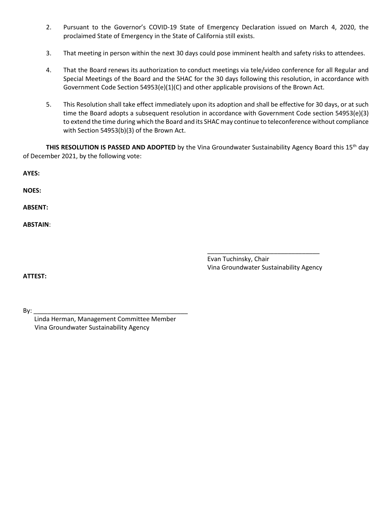- 2. Pursuant to the Governor's COVID-19 State of Emergency Declaration issued on March 4, 2020, the proclaimed State of Emergency in the State of California still exists.
- 3. That meeting in person within the next 30 days could pose imminent health and safety risks to attendees.
- 4. That the Board renews its authorization to conduct meetings via tele/video conference for all Regular and Special Meetings of the Board and the SHAC for the 30 days following this resolution, in accordance with Government Code Section 54953(e)(1)(C) and other applicable provisions of the Brown Act.
- 5. This Resolution shall take effect immediately upon its adoption and shall be effective for 30 days, or at such time the Board adopts a subsequent resolution in accordance with Government Code section 54953(e)(3) to extend the time during which the Board and its SHAC may continue to teleconference without compliance with Section 54953(b)(3) of the Brown Act.

**THIS RESOLUTION IS PASSED AND ADOPTED** by the Vina Groundwater Sustainability Agency Board this 15<sup>th</sup> day of December 2021, by the following vote:

|                 | Evan Tuchinsky, Chair<br>그 사람들은 그 사람들은 그 사람들은 그 사람들을 지르며 그 사람들을 지르며 그 사람들을 지르며 그 사람들을 지르며 그 사람들을 지르며 그 사람들을 지르며 그 사람들을 지르며 그 사람들을 지르며 그 |
|-----------------|-----------------------------------------------------------------------------------------------------------------------------------------|
|                 |                                                                                                                                         |
|                 |                                                                                                                                         |
|                 |                                                                                                                                         |
| <b>ABSTAIN:</b> |                                                                                                                                         |
| <b>ABSENT:</b>  |                                                                                                                                         |
|                 |                                                                                                                                         |
| <b>NOES:</b>    |                                                                                                                                         |
|                 |                                                                                                                                         |
| AIL).           |                                                                                                                                         |

**ATTEST:**

**AYES:** 

Vina Groundwater Sustainability Agency

By: \_\_\_\_\_\_\_\_\_\_\_\_\_\_\_\_\_\_\_\_\_\_\_\_\_\_\_\_\_\_\_\_\_\_\_\_\_\_\_\_\_\_\_\_ Linda Herman, Management Committee Member Vina Groundwater Sustainability Agency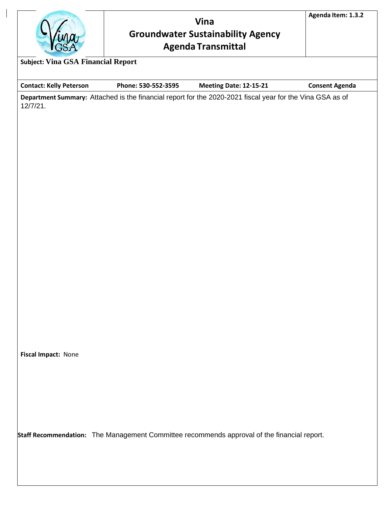

# **Vina Groundwater Sustainability Agency Agenda Transmittal**

**Agenda Item: 1.3.2**

**Contact: Kelly Peterson Phone: 530-552-3595 Meeting Date: 12-15-21 Consent Agenda Department Summary:** Attached is the financial report for the 2020-2021 fiscal year for the Vina GSA as of 12/7/21.

**Fiscal Impact:** None

**Staff Recommendation:** The Management Committee recommends approval of the financial report.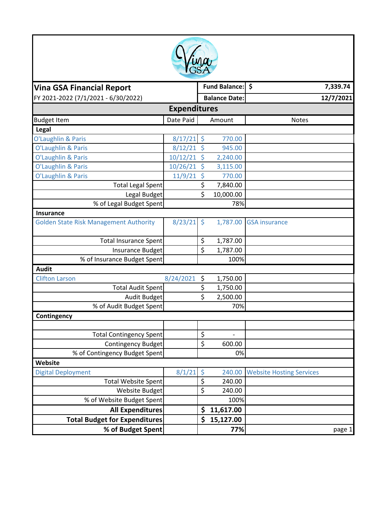

| <b>Vina GSA Financial Report</b>              |              |                     | Fund Balance: \$     |                                 | 7,339.74  |  |
|-----------------------------------------------|--------------|---------------------|----------------------|---------------------------------|-----------|--|
| FY 2021-2022 (7/1/2021 - 6/30/2022)           |              |                     | <b>Balance Date:</b> |                                 | 12/7/2021 |  |
| <b>Expenditures</b>                           |              |                     |                      |                                 |           |  |
| <b>Budget Item</b>                            | Date Paid    |                     | Amount               | <b>Notes</b>                    |           |  |
| Legal                                         |              |                     |                      |                                 |           |  |
| O'Laughlin & Paris                            | $8/17/21$ \$ |                     | 770.00               |                                 |           |  |
| O'Laughlin & Paris                            | $8/12/21$ \$ |                     | 945.00               |                                 |           |  |
| O'Laughlin & Paris                            | 10/12/21     | $\zeta$             | 2,240.00             |                                 |           |  |
| O'Laughlin & Paris                            | 10/26/21 \$  |                     | 3,115.00             |                                 |           |  |
| O'Laughlin & Paris                            | 11/9/21      | $\zeta$             | 770.00               |                                 |           |  |
| <b>Total Legal Spent</b>                      |              | \$                  | 7,840.00             |                                 |           |  |
| Legal Budget                                  |              | \$                  | 10,000.00            |                                 |           |  |
| % of Legal Budget Spent                       |              |                     | 78%                  |                                 |           |  |
| <b>Insurance</b>                              |              |                     |                      |                                 |           |  |
| <b>Golden State Risk Management Authority</b> | 8/23/21      | $\ddot{\mathsf{S}}$ | 1,787.00             | <b>GSA</b> insurance            |           |  |
| <b>Total Insurance Spent</b>                  |              | \$                  | 1,787.00             |                                 |           |  |
| Insurance Budget                              |              | \$                  | 1,787.00             |                                 |           |  |
| % of Insurance Budget Spent                   |              |                     | 100%                 |                                 |           |  |
| <b>Audit</b>                                  |              |                     |                      |                                 |           |  |
| 8/24/2021<br><b>Clifton Larson</b>            |              | \$                  | 1,750.00             |                                 |           |  |
| <b>Total Audit Spent</b>                      |              | \$                  | 1,750.00             |                                 |           |  |
| Audit Budget                                  |              | \$                  | 2,500.00             |                                 |           |  |
| % of Audit Budget Spent                       |              |                     | 70%                  |                                 |           |  |
| Contingency                                   |              |                     |                      |                                 |           |  |
|                                               |              |                     |                      |                                 |           |  |
| <b>Total Contingency Spent</b>                |              | \$                  | $\overline{a}$       |                                 |           |  |
| Contingency Budget                            |              | \$                  | 600.00               |                                 |           |  |
| % of Contingency Budget Spent                 |              |                     | 0%                   |                                 |           |  |
| Website                                       |              |                     |                      |                                 |           |  |
| <b>Digital Deployment</b>                     | 8/1/21       | $\zeta$             | 240.00               | <b>Website Hosting Services</b> |           |  |
| <b>Total Website Spent</b>                    |              | $\zeta$             | 240.00               |                                 |           |  |
| Website Budget                                |              | \$                  | 240.00               |                                 |           |  |
| % of Website Budget Spent                     |              |                     | 100%                 |                                 |           |  |
| <b>All Expenditures</b>                       |              | \$                  | 11,617.00            |                                 |           |  |
| <b>Total Budget for Expenditures</b>          |              | \$                  | 15,127.00            |                                 |           |  |
| % of Budget Spent                             |              |                     | 77%                  |                                 | page 1    |  |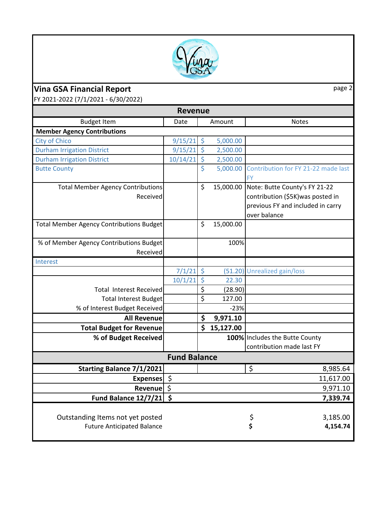

# **Vina GSA Financial Report** page 2

FY 2021‐2022 (7/1/2021 ‐ 6/30/2022)

| <b>Revenue</b>                                                        |          |             |             |                                                                                                                         |  |  |  |
|-----------------------------------------------------------------------|----------|-------------|-------------|-------------------------------------------------------------------------------------------------------------------------|--|--|--|
| <b>Budget Item</b>                                                    | Date     |             | Amount      | <b>Notes</b>                                                                                                            |  |  |  |
| <b>Member Agency Contributions</b>                                    |          |             |             |                                                                                                                         |  |  |  |
| <b>City of Chico</b>                                                  | 9/15/21  | $\zeta$     | 5,000.00    |                                                                                                                         |  |  |  |
| <b>Durham Irrigation District</b>                                     | 9/15/21  | $\zeta$     | 2,500.00    |                                                                                                                         |  |  |  |
| <b>Durham Irrigation District</b>                                     | 10/14/21 | $\varsigma$ | 2,500.00    |                                                                                                                         |  |  |  |
| <b>Butte County</b>                                                   |          | \$          | 5,000.00    | Contribution for FY 21-22 made last<br><b>FY</b>                                                                        |  |  |  |
| <b>Total Member Agency Contributions</b><br>Received                  |          | \$          | 15,000.00   | Note: Butte County's FY 21-22<br>contribution (\$5K) was posted in<br>previous FY and included in carry<br>over balance |  |  |  |
| <b>Total Member Agency Contributions Budget</b>                       |          | $\zeta$     | 15,000.00   |                                                                                                                         |  |  |  |
| % of Member Agency Contributions Budget<br>Received                   |          |             | 100%        |                                                                                                                         |  |  |  |
| Interest                                                              |          |             |             |                                                                                                                         |  |  |  |
|                                                                       | 7/1/21   | $\zeta$     |             | (51.20) Unrealized gain/loss                                                                                            |  |  |  |
|                                                                       | 10/1/21  | $\zeta$     | 22.30       |                                                                                                                         |  |  |  |
| <b>Total Interest Received</b>                                        |          | \$          | (28.90)     |                                                                                                                         |  |  |  |
| <b>Total Interest Budget</b>                                          |          | \$          | 127.00      |                                                                                                                         |  |  |  |
| % of Interest Budget Received                                         |          |             | $-23%$      |                                                                                                                         |  |  |  |
| <b>All Revenue</b>                                                    |          | \$          | 9,971.10    |                                                                                                                         |  |  |  |
| <b>Total Budget for Revenue</b>                                       |          |             | \$15,127.00 |                                                                                                                         |  |  |  |
| % of Budget Received                                                  |          |             |             | 100% Includes the Butte County<br>contribution made last FY                                                             |  |  |  |
| <b>Fund Balance</b>                                                   |          |             |             |                                                                                                                         |  |  |  |
| <b>Starting Balance 7/1/2021</b>                                      |          |             |             | \$<br>8,985.64                                                                                                          |  |  |  |
| Expenses \$                                                           |          |             |             | 11,617.00                                                                                                               |  |  |  |
| \$<br>Revenue                                                         |          |             |             | 9,971.10                                                                                                                |  |  |  |
| \$<br>Fund Balance 12/7/21                                            |          |             |             | 7,339.74                                                                                                                |  |  |  |
| Outstanding Items not yet posted<br><b>Future Anticipated Balance</b> |          |             |             | \$<br>\$<br>3,185.00<br>4,154.74                                                                                        |  |  |  |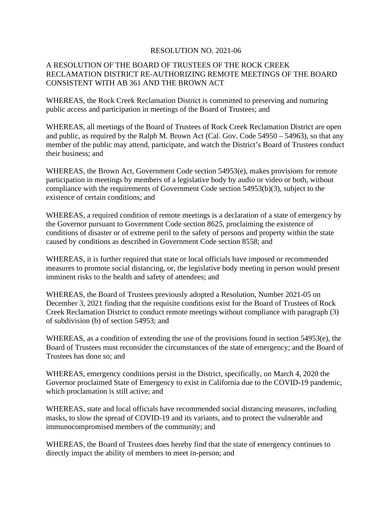### RESOLUTION NO. 2021-06

## A RESOLUTION OF THE BOARD OF TRUSTEES OF THE ROCK CREEK RECLAMATION DISTRICT RE-AUTHORIZING REMOTE MEETINGS OF THE BOARD CONSISTENT WITH AB 361 AND THE BROWN ACT

WHEREAS, the Rock Creek Reclamation District is committed to preserving and nurturing public access and participation in meetings of the Board of Trustees; and

WHEREAS, all meetings of the Board of Trustees of Rock Creek Reclamation District are open and public, as required by the Ralph M. Brown Act (Cal. Gov. Code 54950 – 54963), so that any member of the public may attend, participate, and watch the District's Board of Trustees conduct their business; and

WHEREAS, the Brown Act, Government Code section 54953(e), makes provisions for remote participation in meetings by members of a legislative body by audio or video or both, without compliance with the requirements of Government Code section 54953(b)(3), subject to the existence of certain conditions; and

WHEREAS, a required condition of remote meetings is a declaration of a state of emergency by the Governor pursuant to Government Code section 8625, proclaiming the existence of conditions of disaster or of extreme peril to the safety of persons and property within the state caused by conditions as described in Government Code section 8558; and

WHEREAS, it is further required that state or local officials have imposed or recommended measures to promote social distancing, or, the legislative body meeting in person would present imminent risks to the health and safety of attendees; and

WHEREAS, the Board of Trustees previously adopted a Resolution, Number 2021-05 on December 3, 2021 finding that the requisite conditions exist for the Board of Trustees of Rock Creek Reclamation District to conduct remote meetings without compliance with paragraph (3) of subdivision (b) of section 54953; and

WHEREAS, as a condition of extending the use of the provisions found in section 54953(e), the Board of Trustees must reconsider the circumstances of the state of emergency; and the Board of Trustees has done so; and

WHEREAS, emergency conditions persist in the District, specifically, on March 4, 2020 the Governor proclaimed State of Emergency to exist in California due to the COVID-19 pandemic, which proclamation is still active; and

WHEREAS, state and local officials have recommended social distancing measures, including masks, to slow the spread of COVID-19 and its variants, and to protect the vulnerable and immunocompromised members of the community; and

WHEREAS, the Board of Trustees does hereby find that the state of emergency continues to directly impact the ability of members to meet in-person; and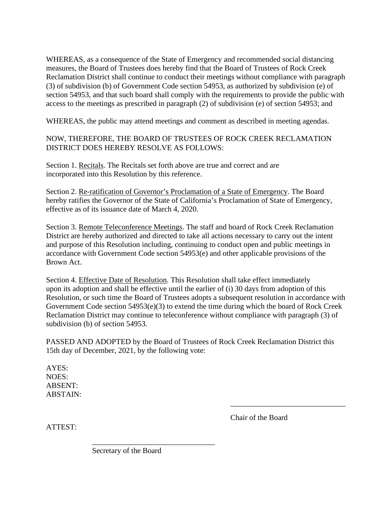WHEREAS, as a consequence of the State of Emergency and recommended social distancing measures, the Board of Trustees does hereby find that the Board of Trustees of Rock Creek Reclamation District shall continue to conduct their meetings without compliance with paragraph (3) of subdivision (b) of Government Code section 54953, as authorized by subdivision (e) of section 54953, and that such board shall comply with the requirements to provide the public with access to the meetings as prescribed in paragraph (2) of subdivision (e) of section 54953; and

WHEREAS, the public may attend meetings and comment as described in meeting agendas.

NOW, THEREFORE, THE BOARD OF TRUSTEES OF ROCK CREEK RECLAMATION DISTRICT DOES HEREBY RESOLVE AS FOLLOWS:

Section 1. Recitals. The Recitals set forth above are true and correct and are incorporated into this Resolution by this reference.

Section 2. Re-ratification of Governor's Proclamation of a State of Emergency. The Board hereby ratifies the Governor of the State of California's Proclamation of State of Emergency, effective as of its issuance date of March 4, 2020.

Section 3. Remote Teleconference Meetings. The staff and board of Rock Creek Reclamation District are hereby authorized and directed to take all actions necessary to carry out the intent and purpose of this Resolution including, continuing to conduct open and public meetings in accordance with Government Code section 54953(e) and other applicable provisions of the Brown Act.

Section 4. Effective Date of Resolution. This Resolution shall take effect immediately upon its adoption and shall be effective until the earlier of (i) 30 days from adoption of this Resolution, or such time the Board of Trustees adopts a subsequent resolution in accordance with Government Code section 54953(e)(3) to extend the time during which the board of Rock Creek Reclamation District may continue to teleconference without compliance with paragraph (3) of subdivision (b) of section 54953.

PASSED AND ADOPTED by the Board of Trustees of Rock Creek Reclamation District this 15th day of December, 2021, by the following vote:

AYES: NOES: ABSENT: ABSTAIN:

ATTEST:

Chair of the Board

\_\_\_\_\_\_\_\_\_\_\_\_\_\_\_\_\_\_\_\_\_\_\_\_\_\_\_\_\_\_

Secretary of the Board

\_\_\_\_\_\_\_\_\_\_\_\_\_\_\_\_\_\_\_\_\_\_\_\_\_\_\_\_\_\_\_\_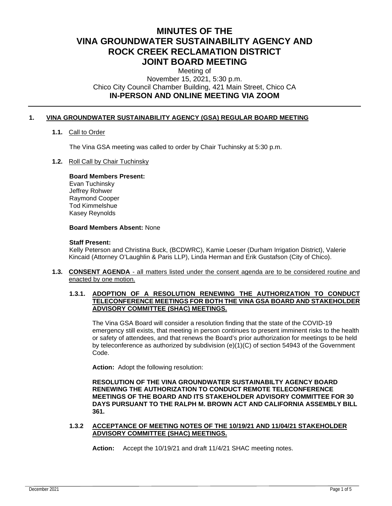# **MINUTES OF THE VINA GROUNDWATER SUSTAINABILITY AGENCY AND ROCK CREEK RECLAMATION DISTRICT JOINT BOARD MEETING**

Meeting of November 15, 2021, 5:30 p.m. Chico City Council Chamber Building, 421 Main Street, Chico CA **IN-PERSON AND ONLINE MEETING VIA ZOOM**

#### **1. VINA GROUNDWATER SUSTAINABILITY AGENCY (GSA) REGULAR BOARD MEETING**

#### **1.1.** Call to Order

The Vina GSA meeting was called to order by Chair Tuchinsky at 5:30 p.m.

#### **1.2.** Roll Call by Chair Tuchinsky

#### **Board Members Present:**

Evan Tuchinsky Jeffrey Rohwer Raymond Cooper Tod Kimmelshue Kasey Reynolds

#### **Board Members Absent:** None

#### **Staff Present:**

Kelly Peterson and Christina Buck, (BCDWRC), Kamie Loeser (Durham Irrigation District), Valerie Kincaid (Attorney O'Laughlin & Paris LLP), Linda Herman and Erik Gustafson (City of Chico).

**1.3. CONSENT AGENDA** - all matters listed under the consent agenda are to be considered routine and enacted by one motion.

#### **1.3.1. ADOPTION OF A RESOLUTION RENEWING THE AUTHORIZATION TO CONDUCT TELECONFERENCE MEETINGS FOR BOTH THE VINA GSA BOARD AND STAKEHOLDER ADVISORY COMMITTEE (SHAC) MEETINGS.**

The Vina GSA Board will consider a resolution finding that the state of the COVID-19 emergency still exists, that meeting in person continues to present imminent risks to the health or safety of attendees, and that renews the Board's prior authorization for meetings to be held by teleconference as authorized by subdivision (e)(1)(C) of section 54943 of the Government Code.

**Action:** Adopt the following resolution:

**RESOLUTION OF THE VINA GROUNDWATER SUSTAINABILTY AGENCY BOARD RENEWING THE AUTHORIZATION TO CONDUCT REMOTE TELECONFERENCE MEETINGS OF THE BOARD AND ITS STAKEHOLDER ADVISORY COMMITTEE FOR 30 DAYS PURSUANT TO THE RALPH M. BROWN ACT AND CALIFORNIA ASSEMBLY BILL 361.**

**1.3.2 ACCEPTANCE OF MEETING NOTES OF THE 10/19/21 AND 11/04/21 STAKEHOLDER ADVISORY COMMITTEE (SHAC) MEETINGS.**

**Action:** Accept the 10/19/21 and draft 11/4/21 SHAC meeting notes.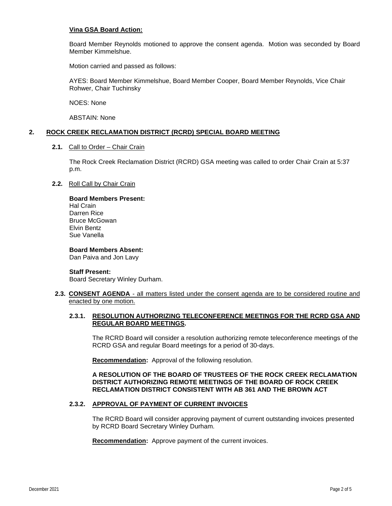#### **Vina GSA Board Action:**

Board Member Reynolds motioned to approve the consent agenda. Motion was seconded by Board Member Kimmelshue.

Motion carried and passed as follows:

AYES: Board Member Kimmelshue, Board Member Cooper, Board Member Reynolds, Vice Chair Rohwer, Chair Tuchinsky

NOES: None

ABSTAIN: None

#### **2. ROCK CREEK RECLAMATION DISTRICT (RCRD) SPECIAL BOARD MEETING**

**2.1.** Call to Order – Chair Crain

The Rock Creek Reclamation District (RCRD) GSA meeting was called to order Chair Crain at 5:37 p.m.

**2.2.** Roll Call by Chair Crain

#### **Board Members Present:**  Hal Crain Darren Rice Bruce McGowan Elvin Bentz Sue Vanella

**Board Members Absent:**  Dan Paiva and Jon Lavy

#### **Staff Present:**

Board Secretary Winley Durham.

**2.3. CONSENT AGENDA** - all matters listed under the consent agenda are to be considered routine and enacted by one motion.

#### **2.3.1. RESOLUTION AUTHORIZING TELECONFERENCE MEETINGS FOR THE RCRD GSA AND REGULAR BOARD MEETINGS.**

The RCRD Board will consider a resolution authorizing remote teleconference meetings of the RCRD GSA and regular Board meetings for a period of 30-days.

**Recommendation:** Approval of the following resolution.

#### **A RESOLUTION OF THE BOARD OF TRUSTEES OF THE ROCK CREEK RECLAMATION DISTRICT AUTHORIZING REMOTE MEETINGS OF THE BOARD OF ROCK CREEK RECLAMATION DISTRICT CONSISTENT WITH AB 361 AND THE BROWN ACT**

#### **2.3.2. APPROVAL OF PAYMENT OF CURRENT INVOICES**

The RCRD Board will consider approving payment of current outstanding invoices presented by RCRD Board Secretary Winley Durham.

**Recommendation:** Approve payment of the current invoices.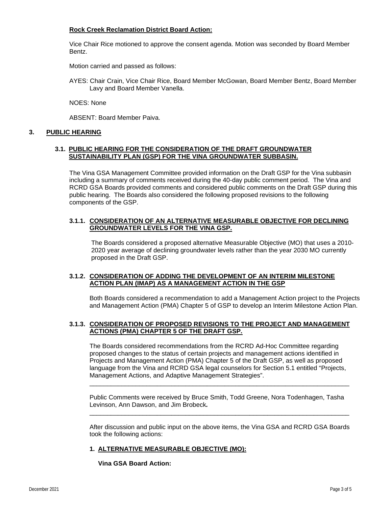#### **Rock Creek Reclamation District Board Action:**

Vice Chair Rice motioned to approve the consent agenda. Motion was seconded by Board Member Bentz.

Motion carried and passed as follows:

AYES: Chair Crain, Vice Chair Rice, Board Member McGowan, Board Member Bentz, Board Member Lavy and Board Member Vanella.

NOES: None

ABSENT: Board Member Paiva.

#### **3. PUBLIC HEARING**

#### **3.1. PUBLIC HEARING FOR THE CONSIDERATION OF THE DRAFT GROUNDWATER SUSTAINABILITY PLAN (GSP) FOR THE VINA GROUNDWATER SUBBASIN.**

The Vina GSA Management Committee provided information on the Draft GSP for the Vina subbasin including a summary of comments received during the 40-day public comment period. The Vina and RCRD GSA Boards provided comments and considered public comments on the Draft GSP during this public hearing. The Boards also considered the following proposed revisions to the following components of the GSP.

#### **3.1.1. CONSIDERATION OF AN ALTERNATIVE MEASURABLE OBJECTIVE FOR DECLINING GROUNDWATER LEVELS FOR THE VINA GSP.**

The Boards considered a proposed alternative Measurable Objective (MO) that uses a 2010- 2020 year average of declining groundwater levels rather than the year 2030 MO currently proposed in the Draft GSP.

#### **3.1.2. CONSIDERATION OF ADDING THE DEVELOPMENT OF AN INTERIM MILESTONE ACTION PLAN (IMAP) AS A MANAGEMENT ACTION IN THE GSP**

Both Boards considered a recommendation to add a Management Action project to the Projects and Management Action (PMA) Chapter 5 of GSP to develop an Interim Milestone Action Plan.

#### **3.1.3. CONSIDERATION OF PROPOSED REVISIONS TO THE PROJECT AND MANAGEMENT ACTIONS (PMA) CHAPTER 5 OF THE DRAFT GSP.**

The Boards considered recommendations from the RCRD Ad-Hoc Committee regarding proposed changes to the status of certain projects and management actions identified in Projects and Management Action (PMA) Chapter 5 of the Draft GSP, as well as proposed language from the Vina and RCRD GSA legal counselors for Section 5.1 entitled "Projects, Management Actions, and Adaptive Management Strategies".

Public Comments were received by Bruce Smith, Todd Greene, Nora Todenhagen, Tasha Levinson, Ann Dawson, and Jim Brobeck*.*  \_\_\_\_\_\_\_\_\_\_\_\_\_\_\_\_\_\_\_\_\_\_\_\_\_\_\_\_\_\_\_\_\_\_\_\_\_\_\_\_\_\_\_\_\_\_\_\_\_\_\_\_\_\_\_\_\_\_\_\_\_\_\_\_\_\_\_\_\_\_\_\_\_

\_\_\_\_\_\_\_\_\_\_\_\_\_\_\_\_\_\_\_\_\_\_\_\_\_\_\_\_\_\_\_\_\_\_\_\_\_\_\_\_\_\_\_\_\_\_\_\_\_\_\_\_\_\_\_\_\_\_\_\_\_\_\_\_\_\_\_\_\_\_\_\_\_

After discussion and public input on the above items, the Vina GSA and RCRD GSA Boards took the following actions:

#### **1. ALTERNATIVE MEASURABLE OBJECTIVE (MO):**

**Vina GSA Board Action:**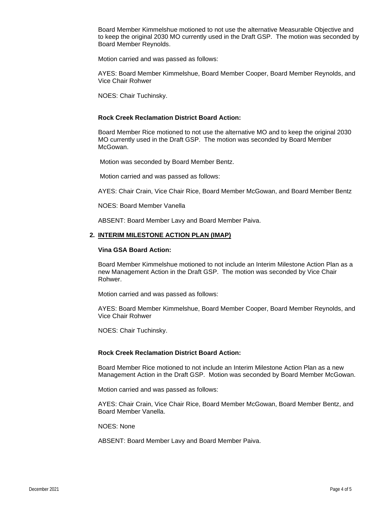Board Member Kimmelshue motioned to not use the alternative Measurable Objective and to keep the original 2030 MO currently used in the Draft GSP. The motion was seconded by Board Member Reynolds.

Motion carried and was passed as follows:

AYES: Board Member Kimmelshue, Board Member Cooper, Board Member Reynolds, and Vice Chair Rohwer

NOES: Chair Tuchinsky.

#### **Rock Creek Reclamation District Board Action:**

Board Member Rice motioned to not use the alternative MO and to keep the original 2030 MO currently used in the Draft GSP. The motion was seconded by Board Member McGowan.

Motion was seconded by Board Member Bentz.

Motion carried and was passed as follows:

AYES: Chair Crain, Vice Chair Rice, Board Member McGowan, and Board Member Bentz

NOES: Board Member Vanella

ABSENT: Board Member Lavy and Board Member Paiva.

#### **2. INTERIM MILESTONE ACTION PLAN (IMAP)**

#### **Vina GSA Board Action:**

Board Member Kimmelshue motioned to not include an Interim Milestone Action Plan as a new Management Action in the Draft GSP. The motion was seconded by Vice Chair Rohwer.

Motion carried and was passed as follows:

AYES: Board Member Kimmelshue, Board Member Cooper, Board Member Reynolds, and Vice Chair Rohwer

NOES: Chair Tuchinsky.

#### **Rock Creek Reclamation District Board Action:**

Board Member Rice motioned to not include an Interim Milestone Action Plan as a new Management Action in the Draft GSP. Motion was seconded by Board Member McGowan.

Motion carried and was passed as follows:

AYES: Chair Crain, Vice Chair Rice, Board Member McGowan, Board Member Bentz, and Board Member Vanella.

NOES: None

ABSENT: Board Member Lavy and Board Member Paiva.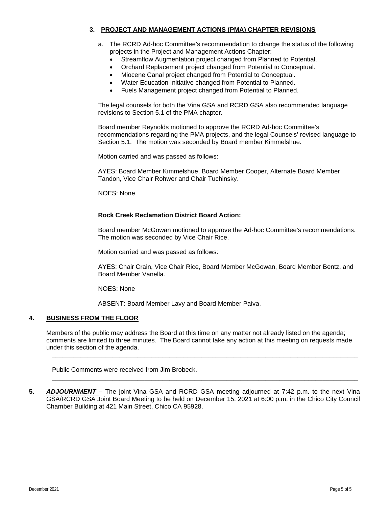#### **3. PROJECT AND MANAGEMENT ACTIONS (PMA) CHAPTER REVISIONS**

- a. The RCRD Ad-hoc Committee's recommendation to change the status of the following projects in the Project and Management Actions Chapter:
	- Streamflow Augmentation project changed from Planned to Potential.
	- Orchard Replacement project changed from Potential to Conceptual.
	- Miocene Canal project changed from Potential to Conceptual.
	- Water Education Initiative changed from Potential to Planned.
	- Fuels Management project changed from Potential to Planned.

The legal counsels for both the Vina GSA and RCRD GSA also recommended language revisions to Section 5.1 of the PMA chapter.

Board member Reynolds motioned to approve the RCRD Ad-hoc Committee's recommendations regarding the PMA projects, and the legal Counsels' revised language to Section 5.1. The motion was seconded by Board member Kimmelshue.

Motion carried and was passed as follows:

AYES: Board Member Kimmelshue, Board Member Cooper, Alternate Board Member Tandon, Vice Chair Rohwer and Chair Tuchinsky.

NOES: None

#### **Rock Creek Reclamation District Board Action:**

Board member McGowan motioned to approve the Ad-hoc Committee's recommendations. The motion was seconded by Vice Chair Rice.

Motion carried and was passed as follows:

AYES: Chair Crain, Vice Chair Rice, Board Member McGowan, Board Member Bentz, and Board Member Vanella.

NOES: None

ABSENT: Board Member Lavy and Board Member Paiva.

#### **4. BUSINESS FROM THE FLOOR**

Members of the public may address the Board at this time on any matter not already listed on the agenda; comments are limited to three minutes. The Board cannot take any action at this meeting on requests made under this section of the agenda.

\_\_\_\_\_\_\_\_\_\_\_\_\_\_\_\_\_\_\_\_\_\_\_\_\_\_\_\_\_\_\_\_\_\_\_\_\_\_\_\_\_\_\_\_\_\_\_\_\_\_\_\_\_\_\_\_\_\_\_\_\_\_\_\_\_\_\_\_\_\_\_\_\_\_\_\_\_\_\_\_\_\_\_\_\_\_

\_\_\_\_\_\_\_\_\_\_\_\_\_\_\_\_\_\_\_\_\_\_\_\_\_\_\_\_\_\_\_\_\_\_\_\_\_\_\_\_\_\_\_\_\_\_\_\_\_\_\_\_\_\_\_\_\_\_\_\_\_\_\_\_\_\_\_\_\_\_\_\_\_\_\_\_\_\_\_\_\_\_\_\_\_\_

Public Comments were received from Jim Brobeck.

**5.** *ADJOURNMENT –* The joint Vina GSA and RCRD GSA meeting adjourned at 7:42 p.m. to the next Vina GSA/RCRD GSA Joint Board Meeting to be held on December 15, 2021 at 6:00 p.m. in the Chico City Council Chamber Building at 421 Main Street, Chico CA 95928.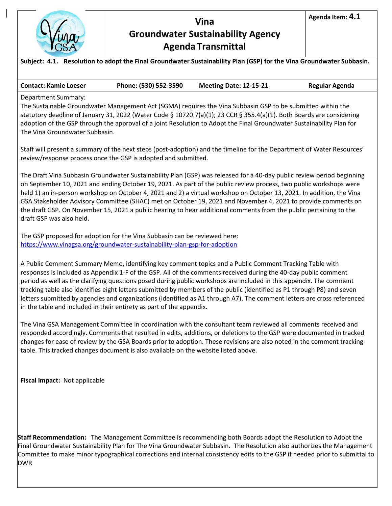

# **Vina Groundwater Sustainability Agency Agenda Transmittal**

**Contact: Kamie Loeser Phone: (530) 552-3590 Meeting Date: 12-15-21 Regular Agenda**

Department Summary:

The Sustainable Groundwater Management Act (SGMA) requires the Vina Subbasin GSP to be submitted within the statutory deadline of January 31, 2022 (Water Code § 10720.7(a)(1); 23 CCR § 355.4(a)(1). Both Boards are considering adoption of the GSP through the approval of a joint Resolution to Adopt the Final Groundwater Sustainability Plan for The Vina Groundwater Subbasin.

Staff will present a summary of the next steps (post-adoption) and the timeline for the Department of Water Resources' review/response process once the GSP is adopted and submitted.

The Draft Vina Subbasin Groundwater Sustainability Plan (GSP) was released for a 40-day public review period beginning on September 10, 2021 and ending October 19, 2021. As part of the public review process, two public workshops were held 1) an in-person workshop on October 4, 2021 and 2) a virtual workshop on October 13, 2021. In addition, the Vina GSA Stakeholder Advisory Committee (SHAC) met on October 19, 2021 and November 4, 2021 to provide comments on the draft GSP. On November 15, 2021 a public hearing to hear additional comments from the public pertaining to the draft GSP was also held.

The GSP proposed for adoption for the Vina Subbasin can be reviewed here: <https://www.vinagsa.org/groundwater-sustainability-plan-gsp-for-adoption>

A Public Comment Summary Memo, identifying key comment topics and a Public Comment Tracking Table with responses is included as Appendix 1-F of the GSP. All of the comments received during the 40-day public comment period as well as the clarifying questions posed during public workshops are included in this appendix. The comment tracking table also identifies eight letters submitted by members of the public (identified as P1 through P8) and seven letters submitted by agencies and organizations (identified as A1 through A7). The comment letters are cross referenced in the table and included in their entirety as part of the appendix.

The Vina GSA Management Committee in coordination with the consultant team reviewed all comments received and responded accordingly. Comments that resulted in edits, additions, or deletions to the GSP were documented in tracked changes for ease of review by the GSA Boards prior to adoption. These revisions are also noted in the comment tracking table. This tracked changes document is also available on the website listed above.

**Fiscal Impact:** Not applicable

**Staff Recommendation:** The Management Committee is recommending both Boards adopt the Resolution to Adopt the Final Groundwater Sustainability Plan for The Vina Groundwater Subbasin. The Resolution also authorizes the Management Committee to make minor typographical corrections and internal consistency edits to the GSP if needed prior to submittal to DWR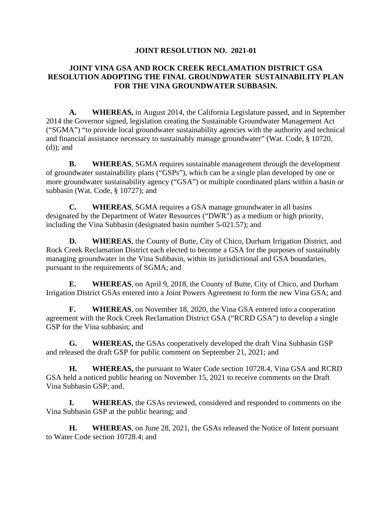## **JOINT RESOLUTION NO. 2021-01**

## **JOINT VINA GSA AND ROCK CREEK RECLAMATION DISTRICT GSA RESOLUTION ADOPTING THE FINAL GROUNDWATER SUSTAINABILITY PLAN FOR THE VINA GROUNDWATER SUBBASIN.**

**A. WHEREAS,** in August 2014, the California Legislature passed, and in September 2014 the Governor signed, legislation creating the Sustainable Groundwater Management Act ("SGMA") "to provide local groundwater sustainability agencies with the authority and technical and financial assistance necessary to sustainably manage groundwater" (Wat. Code, § 10720, (d)); and

**B. WHEREAS**, SGMA requires sustainable management through the development of groundwater sustainability plans ("GSPs"), which can be a single plan developed by one or more groundwater sustainability agency ("GSA") or multiple coordinated plans within a basin or subbasin (Wat. Code, § 10727); and

**C. WHEREAS**, SGMA requires a GSA manage groundwater in all basins designated by the Department of Water Resources ("DWR") as a medium or high priority, including the Vina Subbasin (designated basin number 5-021.57); and

**D. WHEREAS**, the County of Butte, City of Chico, Durham Irrigation District, and Rock Creek Reclamation District each elected to become a GSA for the purposes of sustainably managing groundwater in the Vina Subbasin, within its jurisdictional and GSA boundaries, pursuant to the requirements of SGMA; and

**E. WHEREAS**, on April 9, 2018, the County of Butte, City of Chico, and Durham Irrigation District GSAs entered into a Joint Powers Agreement to form the new Vina GSA; and

**F. WHEREAS**, on November 18, 2020, the Vina GSA entered into a cooperation agreement with the Rock Creek Reclamation District GSA ("RCRD GSA") to develop a single GSP for the Vina subbasin; and

**G. WHEREAS,** the GSAs cooperatively developed the draft Vina Subbasin GSP and released the draft GSP for public comment on September 21, 2021; and

**H. WHEREAS,** the pursuant to Water Code section 10728.4, Vina GSA and RCRD GSA held a noticed public hearing on November 15, 2021 to receive comments on the Draft Vina Subbasin GSP; and.

**I. WHEREAS**, the GSAs reviewed, considered and responded to comments on the Vina Subbasin GSP at the public hearing; and

**H. WHEREAS**, on June 28, 2021, the GSAs released the Notice of Intent pursuant to Water Code section 10728.4; and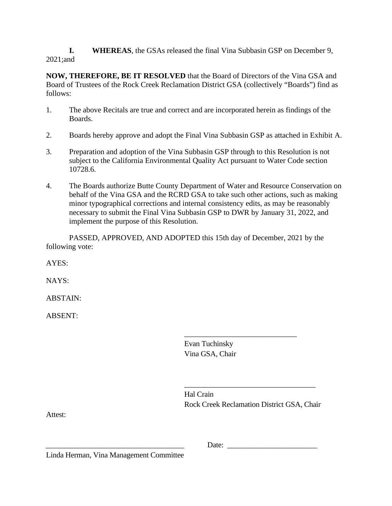**I. WHEREAS**, the GSAs released the final Vina Subbasin GSP on December 9, 2021;and

**NOW, THEREFORE, BE IT RESOLVED** that the Board of Directors of the Vina GSA and Board of Trustees of the Rock Creek Reclamation District GSA (collectively "Boards") find as follows:

- 1. The above Recitals are true and correct and are incorporated herein as findings of the Boards.
- 2. Boards hereby approve and adopt the Final Vina Subbasin GSP as attached in Exhibit A.
- 3. Preparation and adoption of the Vina Subbasin GSP through to this Resolution is not subject to the California Environmental Quality Act pursuant to Water Code section 10728.6.
- 4. The Boards authorize Butte County Department of Water and Resource Conservation on behalf of the Vina GSA and the RCRD GSA to take such other actions, such as making minor typographical corrections and internal consistency edits, as may be reasonably necessary to submit the Final Vina Subbasin GSP to DWR by January 31, 2022, and implement the purpose of this Resolution.

PASSED, APPROVED, AND ADOPTED this 15th day of December, 2021 by the following vote:

AYES:

NAYS:

ABSTAIN:

ABSENT:

Evan Tuchinsky Vina GSA, Chair

Hal Crain Rock Creek Reclamation District GSA, Chair

\_\_\_\_\_\_\_\_\_\_\_\_\_\_\_\_\_\_\_\_\_\_\_\_\_\_\_\_\_\_\_\_\_\_\_

\_\_\_\_\_\_\_\_\_\_\_\_\_\_\_\_\_\_\_\_\_\_\_\_\_\_\_\_\_\_

Attest:

\_\_\_\_\_\_\_\_\_\_\_\_\_\_\_\_\_\_\_\_\_\_\_\_\_\_\_\_\_\_\_\_\_\_\_\_\_ Date: \_\_\_\_\_\_\_\_\_\_\_\_\_\_\_\_\_\_\_\_\_\_\_\_

Linda Herman, Vina Management Committee